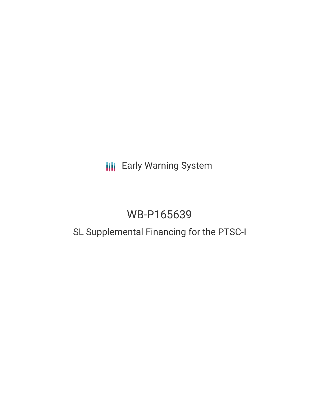# **III** Early Warning System

# WB-P165639

## SL Supplemental Financing for the PTSC-I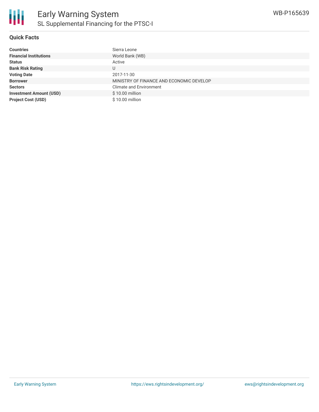

### **Quick Facts**

| <b>Countries</b>               | Sierra Leone                             |
|--------------------------------|------------------------------------------|
| <b>Financial Institutions</b>  | World Bank (WB)                          |
| <b>Status</b>                  | Active                                   |
| <b>Bank Risk Rating</b>        | U                                        |
| <b>Voting Date</b>             | 2017-11-30                               |
| <b>Borrower</b>                | MINISTRY OF FINANCE AND ECONOMIC DEVELOP |
| <b>Sectors</b>                 | <b>Climate and Environment</b>           |
| <b>Investment Amount (USD)</b> | \$10.00 million                          |
| <b>Project Cost (USD)</b>      | $$10.00$ million                         |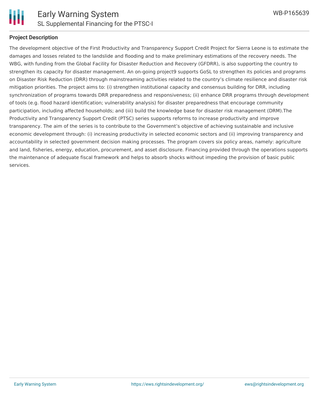

### **Project Description**

The development objective of the First Productivity and Transparency Support Credit Project for Sierra Leone is to estimate the damages and losses related to the landslide and flooding and to make preliminary estimations of the recovery needs. The WBG, with funding from the Global Facility for Disaster Reduction and Recovery (GFDRR), is also supporting the country to strengthen its capacity for disaster management. An on-going project9 supports GoSL to strengthen its policies and programs on Disaster Risk Reduction (DRR) through mainstreaming activities related to the country's climate resilience and disaster risk mitigation priorities. The project aims to: (i) strengthen institutional capacity and consensus building for DRR, including synchronization of programs towards DRR preparedness and responsiveness; (ii) enhance DRR programs through development of tools (e.g. flood hazard identification; vulnerability analysis) for disaster preparedness that encourage community participation, including affected households; and (iii) build the knowledge base for disaster risk management (DRM).The Productivity and Transparency Support Credit (PTSC) series supports reforms to increase productivity and improve transparency. The aim of the series is to contribute to the Government's objective of achieving sustainable and inclusive economic development through: (i) increasing productivity in selected economic sectors and (ii) improving transparency and accountability in selected government decision making processes. The program covers six policy areas, namely: agriculture and land, fisheries, energy, education, procurement, and asset disclosure. Financing provided through the operations supports the maintenance of adequate fiscal framework and helps to absorb shocks without impeding the provision of basic public services.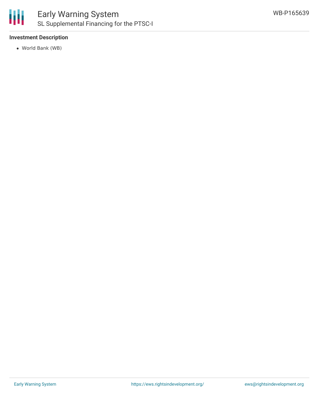

### Early Warning System SL Supplemental Financing for the PTSC-I

### **Investment Description**

World Bank (WB)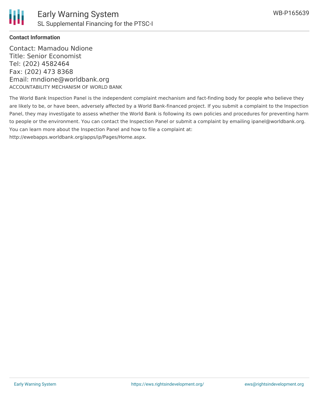

### **Contact Information**

Contact: Mamadou Ndione Title: Senior Economist Tel: (202) 4582464 Fax: (202) 473 8368 Email: mndione@worldbank.org ACCOUNTABILITY MECHANISM OF WORLD BANK

The World Bank Inspection Panel is the independent complaint mechanism and fact-finding body for people who believe they are likely to be, or have been, adversely affected by a World Bank-financed project. If you submit a complaint to the Inspection Panel, they may investigate to assess whether the World Bank is following its own policies and procedures for preventing harm to people or the environment. You can contact the Inspection Panel or submit a complaint by emailing ipanel@worldbank.org. You can learn more about the Inspection Panel and how to file a complaint at: http://ewebapps.worldbank.org/apps/ip/Pages/Home.aspx.